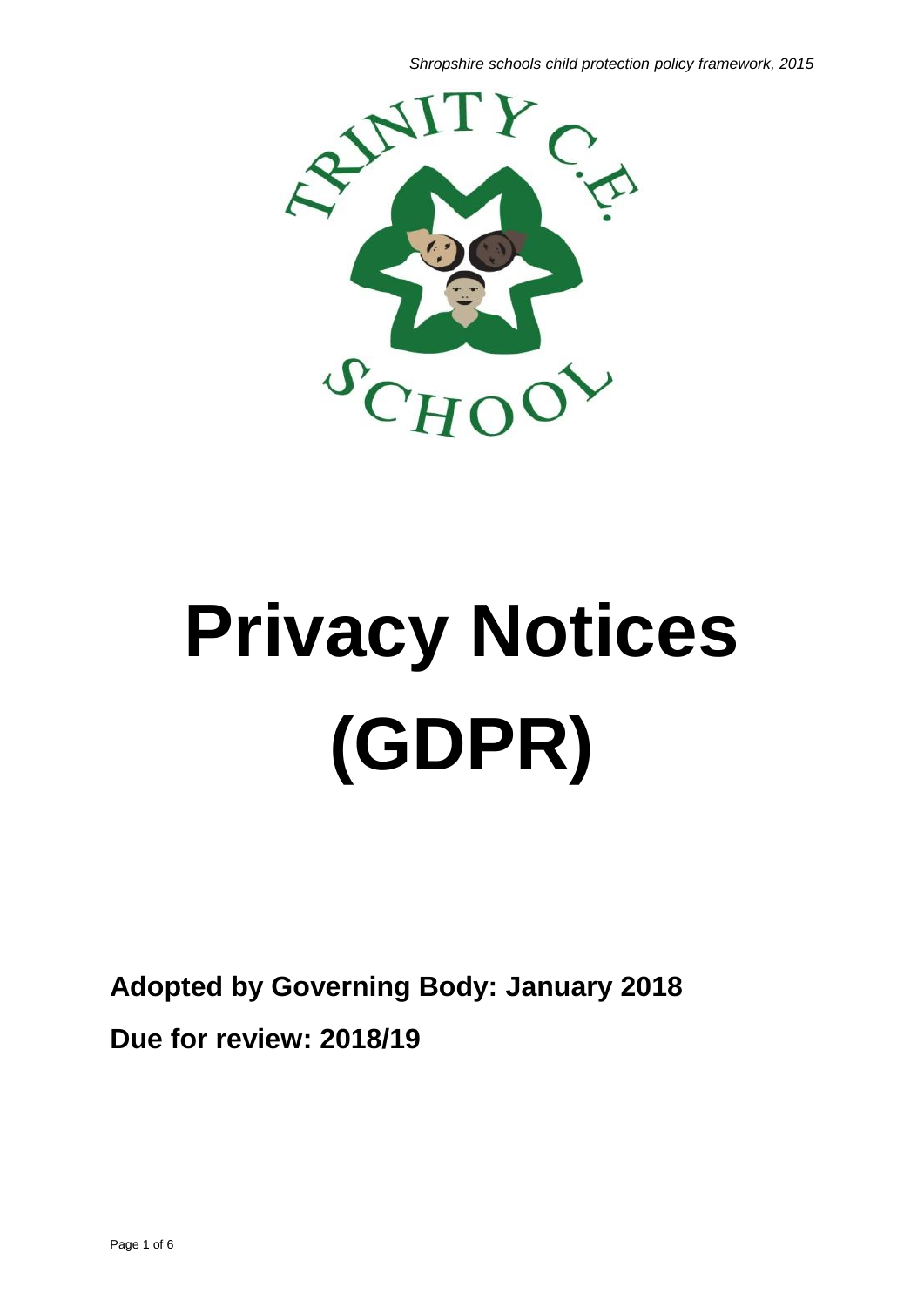*Shropshire schools child protection policy framework, 2015*



# **Privacy Notices (GDPR)**

**Adopted by Governing Body: January 2018 Due for review: 2018/19**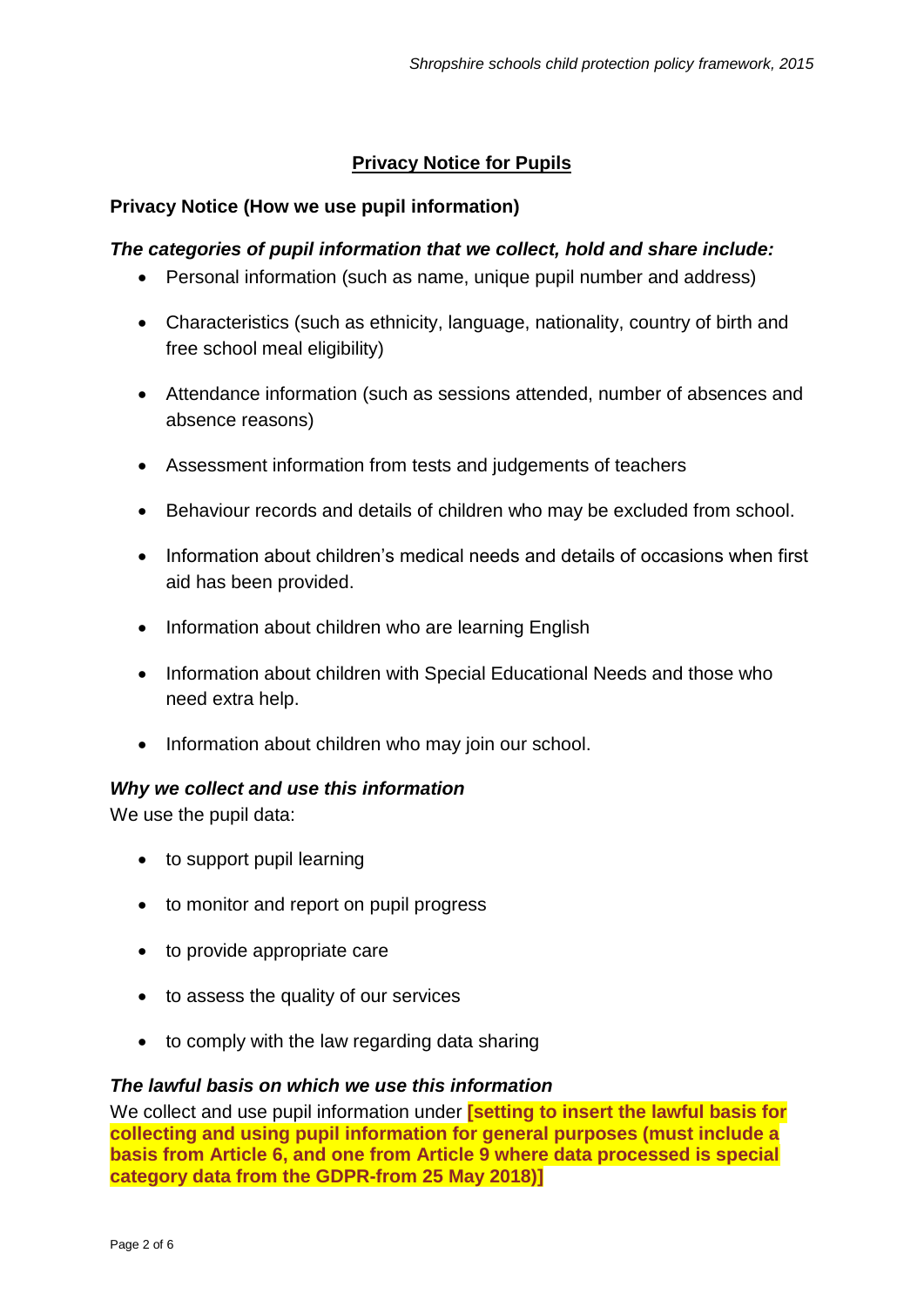# **Privacy Notice for Pupils**

# **Privacy Notice (How we use pupil information)**

# *The categories of pupil information that we collect, hold and share include:*

- Personal information (such as name, unique pupil number and address)
- Characteristics (such as ethnicity, language, nationality, country of birth and free school meal eligibility)
- Attendance information (such as sessions attended, number of absences and absence reasons)
- Assessment information from tests and judgements of teachers
- Behaviour records and details of children who may be excluded from school.
- Information about children's medical needs and details of occasions when first aid has been provided.
- Information about children who are learning English
- Information about children with Special Educational Needs and those who need extra help.
- Information about children who may join our school.

# *Why we collect and use this information*

We use the pupil data:

- to support pupil learning
- to monitor and report on pupil progress
- to provide appropriate care
- to assess the quality of our services
- to comply with the law regarding data sharing

# *The lawful basis on which we use this information*

We collect and use pupil information under **[setting to insert the lawful basis for collecting and using pupil information for general purposes (must include a basis from Article 6, and one from Article 9 where data processed is special category data from the GDPR-from 25 May 2018)]**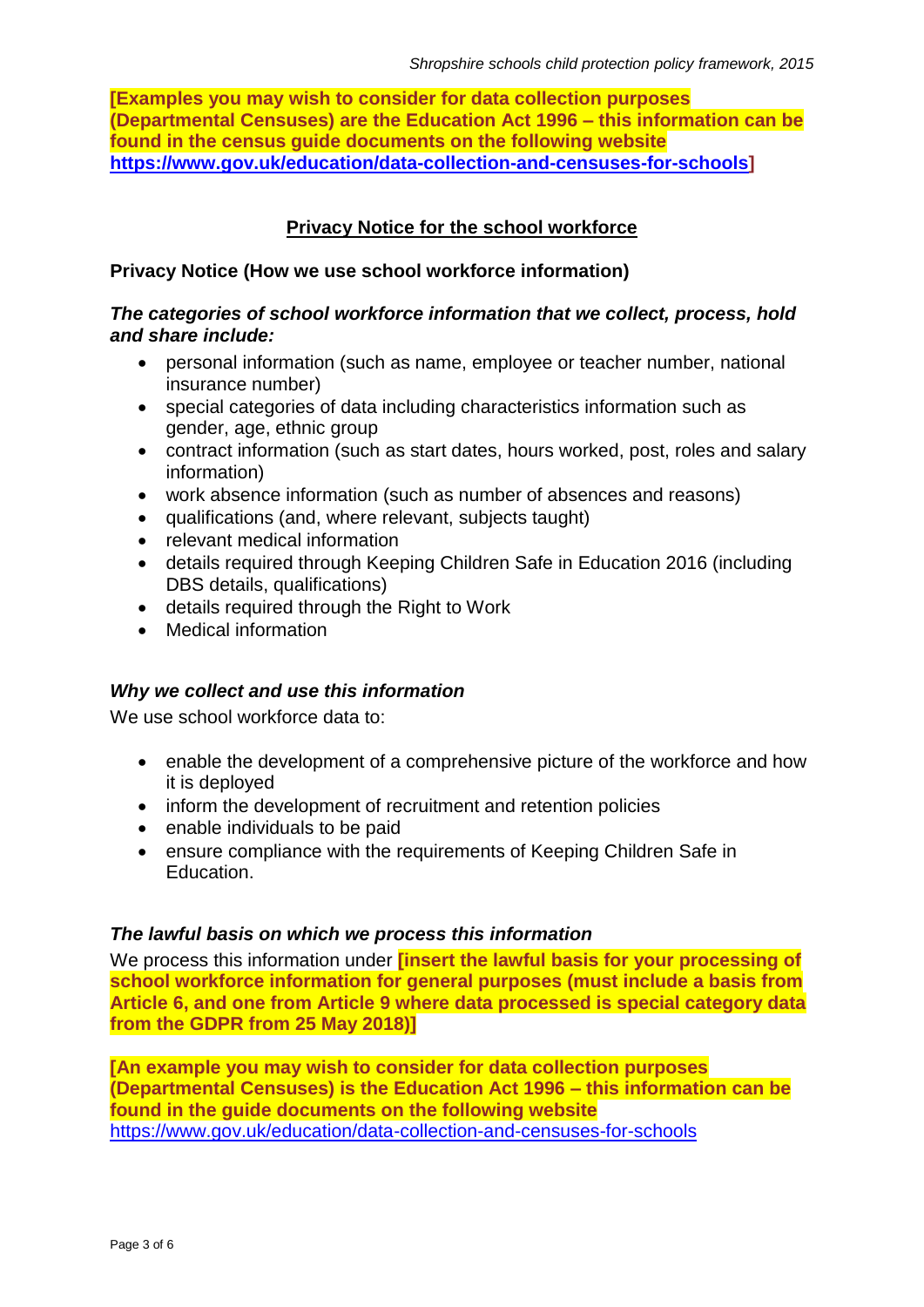**[Examples you may wish to consider for data collection purposes (Departmental Censuses) are the Education Act 1996 – this information can be found in the census guide documents on the following website [https://www.gov.uk/education/data-collection-and-censuses-for-schools\]](https://www.gov.uk/education/data-collection-and-censuses-for-schools)**

# **Privacy Notice for the school workforce**

# **Privacy Notice (How we use school workforce information)**

# *The categories of school workforce information that we collect, process, hold and share include:*

- personal information (such as name, employee or teacher number, national insurance number)
- special categories of data including characteristics information such as gender, age, ethnic group
- contract information (such as start dates, hours worked, post, roles and salary information)
- work absence information (such as number of absences and reasons)
- qualifications (and, where relevant, subjects taught)
- relevant medical information
- details required through Keeping Children Safe in Education 2016 (including DBS details, qualifications)
- details required through the Right to Work
- Medical information

# *Why we collect and use this information*

We use school workforce data to:

- enable the development of a comprehensive picture of the workforce and how it is deployed
- inform the development of recruitment and retention policies
- enable individuals to be paid
- ensure compliance with the requirements of Keeping Children Safe in Education.

# *The lawful basis on which we process this information*

We process this information under **[insert the lawful basis for your processing of school workforce information for general purposes (must include a basis from Article 6, and one from Article 9 where data processed is special category data from the GDPR from 25 May 2018)]**

**[An example you may wish to consider for data collection purposes (Departmental Censuses) is the Education Act 1996 – this information can be found in the guide documents on the following website** <https://www.gov.uk/education/data-collection-and-censuses-for-schools>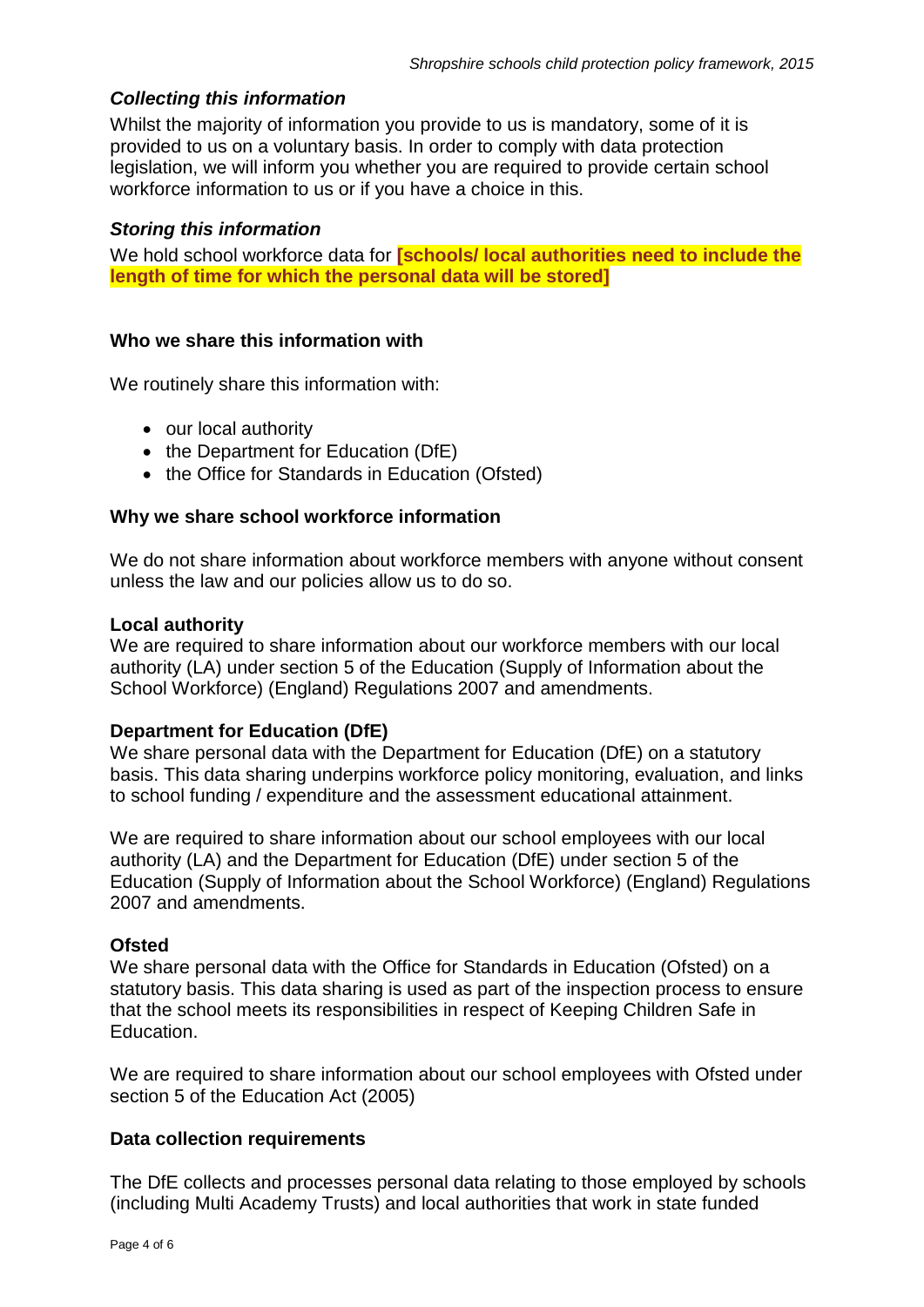# *Collecting this information*

Whilst the majority of information you provide to us is mandatory, some of it is provided to us on a voluntary basis. In order to comply with data protection legislation, we will inform you whether you are required to provide certain school workforce information to us or if you have a choice in this.

### *Storing this information*

We hold school workforce data for **[schools/ local authorities need to include the length of time for which the personal data will be stored]**

#### **Who we share this information with**

We routinely share this information with:

- our local authority
- the Department for Education (DfE)
- the Office for Standards in Education (Ofsted)

#### **Why we share school workforce information**

We do not share information about workforce members with anyone without consent unless the law and our policies allow us to do so.

#### **Local authority**

We are required to share information about our workforce members with our local authority (LA) under section 5 of the Education (Supply of Information about the School Workforce) (England) Regulations 2007 and amendments.

# **Department for Education (DfE)**

We share personal data with the Department for Education (DfE) on a statutory basis. This data sharing underpins workforce policy monitoring, evaluation, and links to school funding / expenditure and the assessment educational attainment.

We are required to share information about our school employees with our local authority (LA) and the Department for Education (DfE) under section 5 of the Education (Supply of Information about the School Workforce) (England) Regulations 2007 and amendments.

#### **Ofsted**

We share personal data with the Office for Standards in Education (Ofsted) on a statutory basis. This data sharing is used as part of the inspection process to ensure that the school meets its responsibilities in respect of Keeping Children Safe in Education.

We are required to share information about our school employees with Ofsted under section 5 of the Education Act (2005)

#### **Data collection requirements**

The DfE collects and processes personal data relating to those employed by schools (including Multi Academy Trusts) and local authorities that work in state funded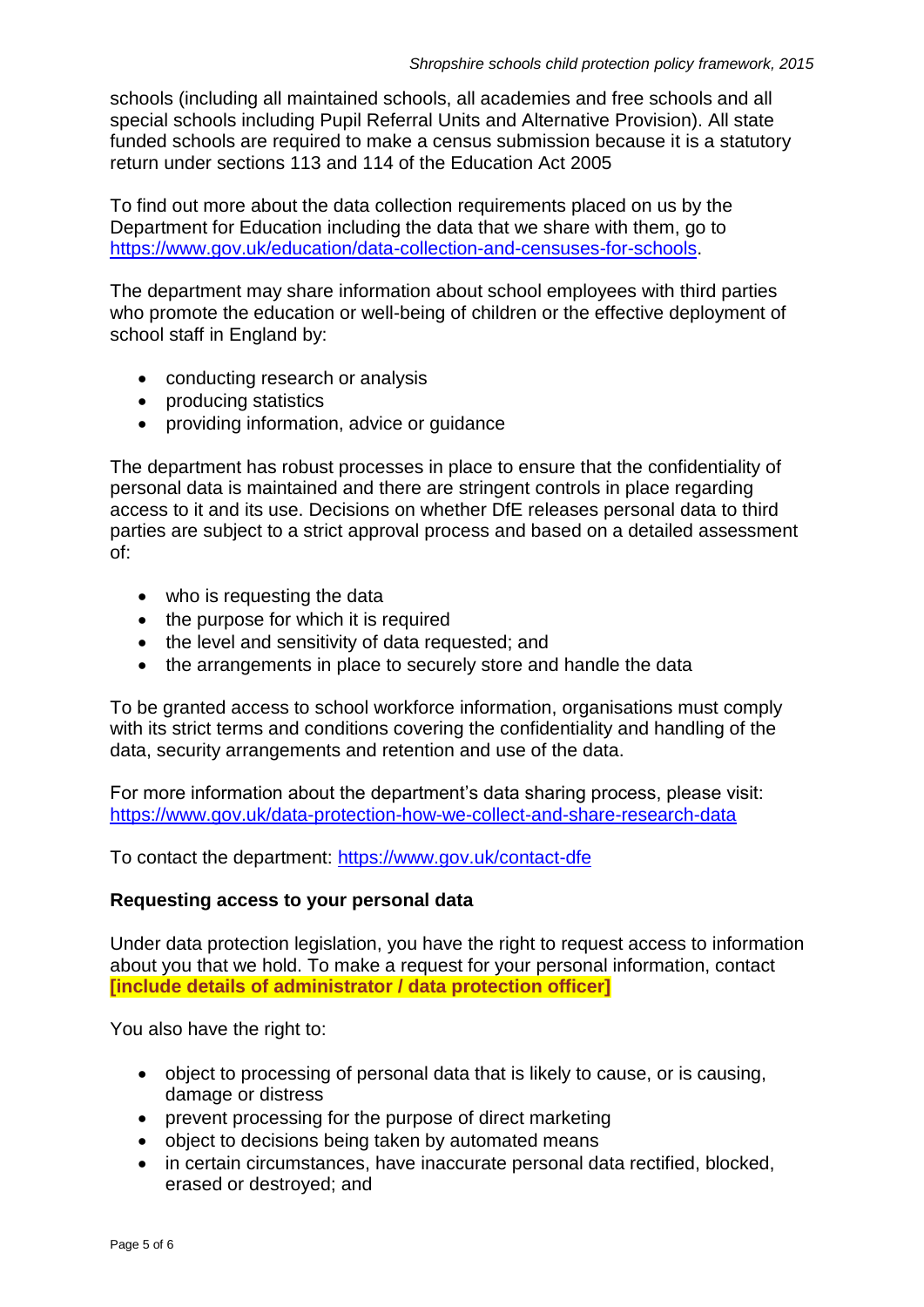schools (including all maintained schools, all academies and free schools and all special schools including Pupil Referral Units and Alternative Provision). All state funded schools are required to make a census submission because it is a statutory return under sections 113 and 114 of the Education Act 2005

To find out more about the data collection requirements placed on us by the Department for Education including the data that we share with them, go to [https://www.gov.uk/education/data-collection-and-censuses-for-schools.](https://www.gov.uk/education/data-collection-and-censuses-for-schools)

The department may share information about school employees with third parties who promote the education or well-being of children or the effective deployment of school staff in England by:

- conducting research or analysis
- producing statistics
- providing information, advice or guidance

The department has robust processes in place to ensure that the confidentiality of personal data is maintained and there are stringent controls in place regarding access to it and its use. Decisions on whether DfE releases personal data to third parties are subject to a strict approval process and based on a detailed assessment of:

- who is requesting the data
- the purpose for which it is required
- the level and sensitivity of data requested; and
- the arrangements in place to securely store and handle the data

To be granted access to school workforce information, organisations must comply with its strict terms and conditions covering the confidentiality and handling of the data, security arrangements and retention and use of the data.

For more information about the department's data sharing process, please visit: <https://www.gov.uk/data-protection-how-we-collect-and-share-research-data>

To contact the department:<https://www.gov.uk/contact-dfe>

# **Requesting access to your personal data**

Under data protection legislation, you have the right to request access to information about you that we hold. To make a request for your personal information, contact **[include details of administrator / data protection officer]**

You also have the right to:

- object to processing of personal data that is likely to cause, or is causing, damage or distress
- prevent processing for the purpose of direct marketing
- object to decisions being taken by automated means
- in certain circumstances, have inaccurate personal data rectified, blocked, erased or destroyed; and